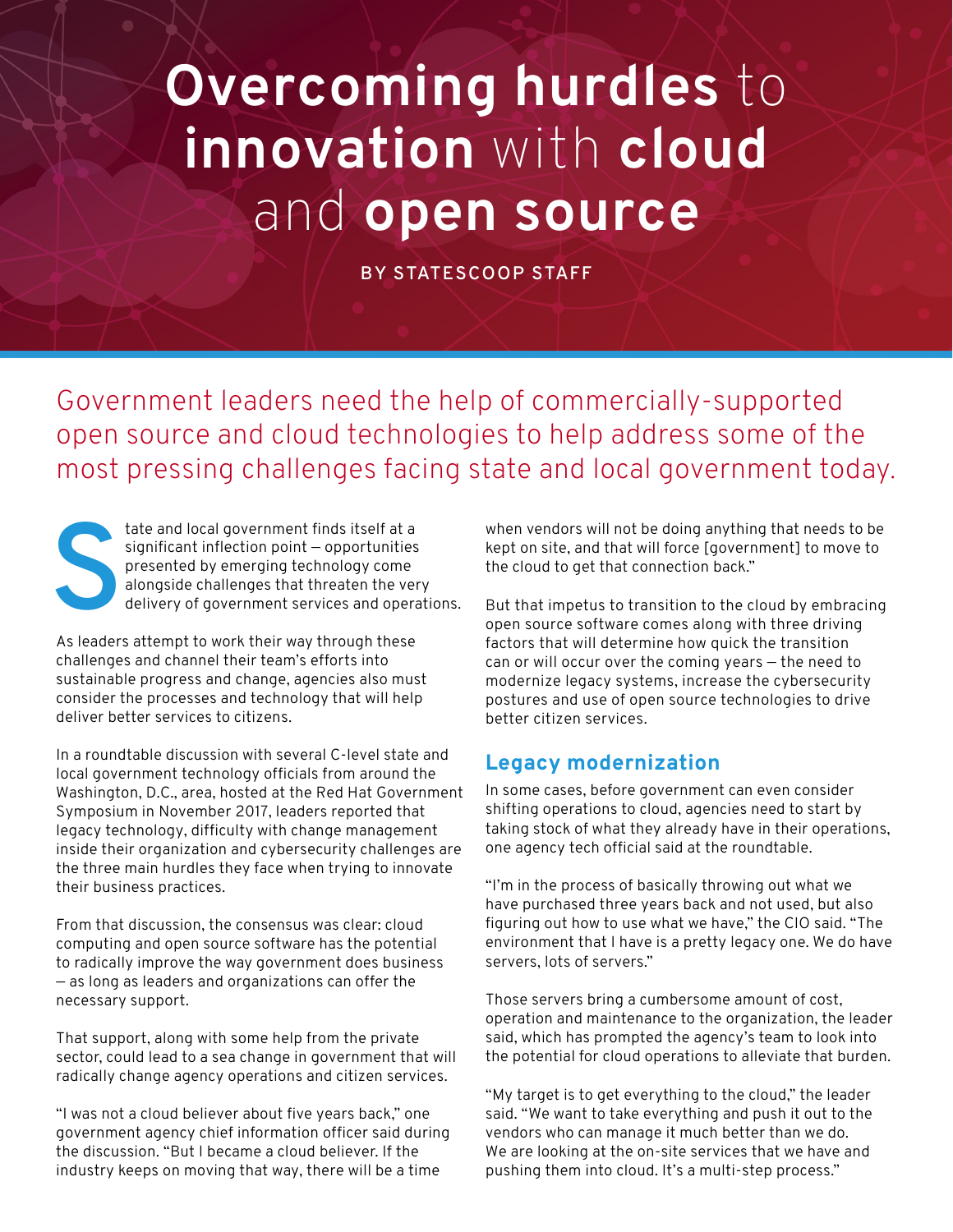## **Overcoming hurdles** to **innovation** with **cloud**  and **open source**

**BY STATESCOOP STAFF**

Government leaders need the help of commercially-supported open source and cloud technologies to help address some of the most pressing challenges facing state and local government today.

tate and local government finds itself at a<br>significant inflection point – opportunities<br>presented by emerging technology come<br>alongside challenges that threaten the ver<br>delivery of government services and opera significant inflection point — opportunities presented by emerging technology come alongside challenges that threaten the very delivery of government services and operations.

As leaders attempt to work their way through these challenges and channel their team's efforts into sustainable progress and change, agencies also must consider the processes and technology that will help deliver better services to citizens.

In a roundtable discussion with several C-level state and local government technology officials from around the Washington, D.C., area, hosted at the Red Hat Government Symposium in November 2017, leaders reported that legacy technology, difficulty with change management inside their organization and cybersecurity challenges are the three main hurdles they face when trying to innovate their business practices.

From that discussion, the consensus was clear: cloud computing and open source software has the potential to radically improve the way government does business — as long as leaders and organizations can offer the necessary support.

That support, along with some help from the private sector, could lead to a sea change in government that will radically change agency operations and citizen services.

"I was not a cloud believer about five years back," one government agency chief information officer said during the discussion. "But I became a cloud believer. If the industry keeps on moving that way, there will be a time

when vendors will not be doing anything that needs to be kept on site, and that will force [government] to move to the cloud to get that connection back."

But that impetus to transition to the cloud by embracing open source software comes along with three driving factors that will determine how quick the transition can or will occur over the coming years — the need to modernize legacy systems, increase the cybersecurity postures and use of open source technologies to drive better citizen services.

## **Legacy modernization**

In some cases, before government can even consider shifting operations to cloud, agencies need to start by taking stock of what they already have in their operations, one agency tech official said at the roundtable.

"I'm in the process of basically throwing out what we have purchased three years back and not used, but also figuring out how to use what we have," the CIO said. "The environment that I have is a pretty legacy one. We do have servers, lots of servers."

Those servers bring a cumbersome amount of cost, operation and maintenance to the organization, the leader said, which has prompted the agency's team to look into the potential for cloud operations to alleviate that burden.

"My target is to get everything to the cloud," the leader said. "We want to take everything and push it out to the vendors who can manage it much better than we do. We are looking at the on-site services that we have and pushing them into cloud. It's a multi-step process."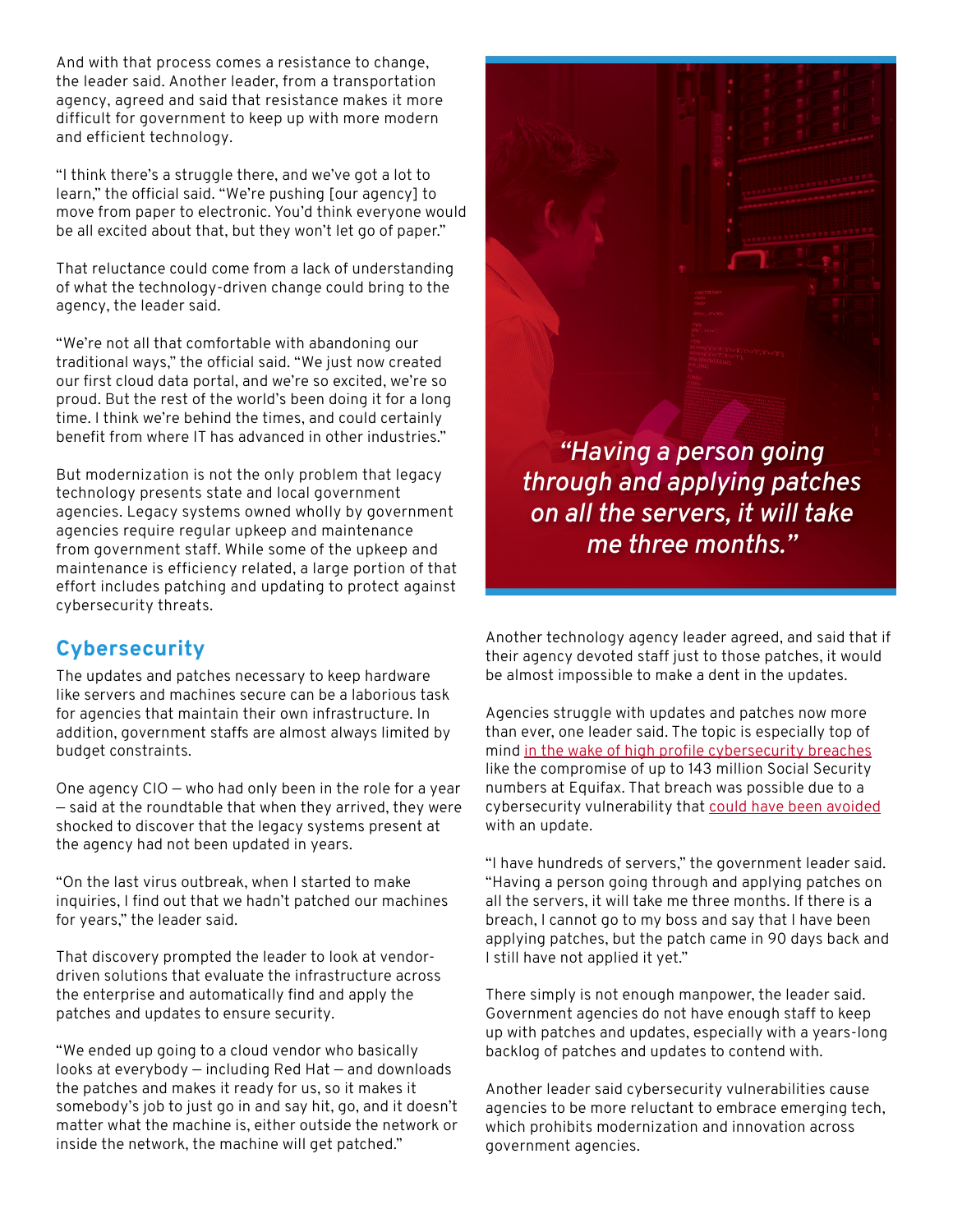And with that process comes a resistance to change, the leader said. Another leader, from a transportation agency, agreed and said that resistance makes it more difficult for government to keep up with more modern and efficient technology.

"I think there's a struggle there, and we've got a lot to learn," the official said. "We're pushing [our agency] to move from paper to electronic. You'd think everyone would be all excited about that, but they won't let go of paper."

That reluctance could come from a lack of understanding of what the technology-driven change could bring to the agency, the leader said.

"We're not all that comfortable with abandoning our traditional ways," the official said. "We just now created our first cloud data portal, and we're so excited, we're so proud. But the rest of the world's been doing it for a long time. I think we're behind the times, and could certainly benefit from where IT has advanced in other industries."

But modernization is not the only problem that legacy technology presents state and local government agencies. Legacy systems owned wholly by government agencies require regular upkeep and maintenance from government staff. While some of the upkeep and maintenance is efficiency related, a large portion of that effort includes patching and updating to protect against cybersecurity threats.

## **Cybersecurity**

The updates and patches necessary to keep hardware like servers and machines secure can be a laborious task for agencies that maintain their own infrastructure. In addition, government staffs are almost always limited by budget constraints.

One agency CIO — who had only been in the role for a year — said at the roundtable that when they arrived, they were shocked to discover that the legacy systems present at the agency had not been updated in years.

"On the last virus outbreak, when I started to make inquiries, I find out that we hadn't patched our machines for years," the leader said.

That discovery prompted the leader to look at vendordriven solutions that evaluate the infrastructure across the enterprise and automatically find and apply the patches and updates to ensure security.

"We ended up going to a cloud vendor who basically looks at everybody — including Red Hat — and downloads the patches and makes it ready for us, so it makes it somebody's job to just go in and say hit, go, and it doesn't matter what the machine is, either outside the network or inside the network, the machine will get patched."

*"Having a person going through and applying patches on all the servers, it will take me three months."*

Another technology agency leader agreed, and said that if their agency devoted staff just to those patches, it would be almost impossible to make a dent in the updates.

Agencies struggle with updates and patches now more than ever, one leader said. The topic is especially top of mind [in the wake of high profile cybersecurity breaches](http://statescoop.com/after-equifax-breach-states-clamp-down) like the compromise of up to 143 million Social Security numbers at Equifax. That breach was possible due to a cybersecurity vulnerability that [could have been avoided](https://www.cyberscoop.com/equifax-breach-apache-struts-fbi-investigation/) with an update.

"I have hundreds of servers," the government leader said. "Having a person going through and applying patches on all the servers, it will take me three months. If there is a breach, I cannot go to my boss and say that I have been applying patches, but the patch came in 90 days back and I still have not applied it yet."

There simply is not enough manpower, the leader said. Government agencies do not have enough staff to keep up with patches and updates, especially with a years-long backlog of patches and updates to contend with.

Another leader said cybersecurity vulnerabilities cause agencies to be more reluctant to embrace emerging tech, which prohibits modernization and innovation across government agencies.